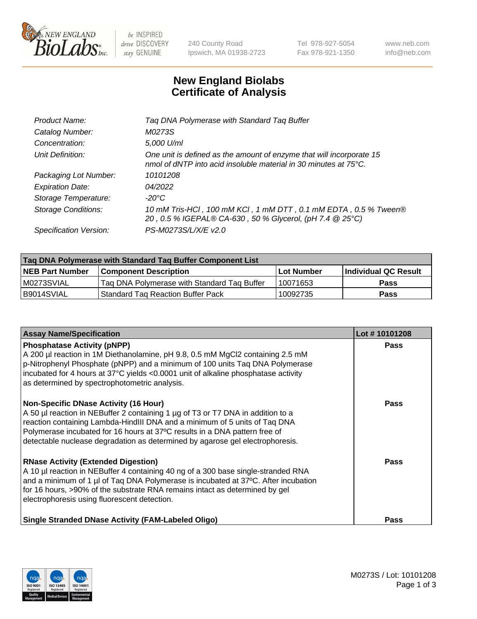

be INSPIRED drive DISCOVERY stay GENUINE

240 County Road Ipswich, MA 01938-2723 Tel 978-927-5054 Fax 978-921-1350 www.neb.com info@neb.com

## **New England Biolabs Certificate of Analysis**

| Tag DNA Polymerase with Standard Tag Buffer                                                                                              |
|------------------------------------------------------------------------------------------------------------------------------------------|
| M0273S                                                                                                                                   |
| 5,000 U/ml                                                                                                                               |
| One unit is defined as the amount of enzyme that will incorporate 15<br>nmol of dNTP into acid insoluble material in 30 minutes at 75°C. |
| 10101208                                                                                                                                 |
| 04/2022                                                                                                                                  |
| $-20^{\circ}$ C                                                                                                                          |
| 10 mM Tris-HCl, 100 mM KCl, 1 mM DTT, 0.1 mM EDTA, 0.5 % Tween®<br>20, 0.5 % IGEPAL® CA-630, 50 % Glycerol, (pH 7.4 @ 25°C)              |
| PS-M0273S/L/X/E v2.0                                                                                                                     |
|                                                                                                                                          |

| Tag DNA Polymerase with Standard Tag Buffer Component List |                                             |                   |                      |  |  |
|------------------------------------------------------------|---------------------------------------------|-------------------|----------------------|--|--|
| <b>NEB Part Number</b>                                     | <b>Component Description</b>                | <b>Lot Number</b> | Individual QC Result |  |  |
| M0273SVIAL                                                 | Tag DNA Polymerase with Standard Tag Buffer | 10071653          | <b>Pass</b>          |  |  |
| B9014SVIAL                                                 | <b>Standard Tag Reaction Buffer Pack</b>    | 10092735          | <b>Pass</b>          |  |  |

| <b>Assay Name/Specification</b>                                                                                                                                                                                                                                                                                                                                              | Lot #10101208 |
|------------------------------------------------------------------------------------------------------------------------------------------------------------------------------------------------------------------------------------------------------------------------------------------------------------------------------------------------------------------------------|---------------|
| <b>Phosphatase Activity (pNPP)</b><br>A 200 µl reaction in 1M Diethanolamine, pH 9.8, 0.5 mM MgCl2 containing 2.5 mM<br>p-Nitrophenyl Phosphate (pNPP) and a minimum of 100 units Taq DNA Polymerase<br>incubated for 4 hours at 37°C yields <0.0001 unit of alkaline phosphatase activity<br>as determined by spectrophotometric analysis.                                  | <b>Pass</b>   |
| <b>Non-Specific DNase Activity (16 Hour)</b><br>A 50 µl reaction in NEBuffer 2 containing 1 µg of T3 or T7 DNA in addition to a<br>reaction containing Lambda-HindIII DNA and a minimum of 5 units of Taq DNA<br>Polymerase incubated for 16 hours at 37°C results in a DNA pattern free of<br>detectable nuclease degradation as determined by agarose gel electrophoresis. | Pass          |
| <b>RNase Activity (Extended Digestion)</b><br>A 10 µl reaction in NEBuffer 4 containing 40 ng of a 300 base single-stranded RNA<br>and a minimum of 1 µl of Taq DNA Polymerase is incubated at 37°C. After incubation<br>for 16 hours, >90% of the substrate RNA remains intact as determined by gel<br>electrophoresis using fluorescent detection.                         | Pass          |
| <b>Single Stranded DNase Activity (FAM-Labeled Oligo)</b>                                                                                                                                                                                                                                                                                                                    | Pass          |

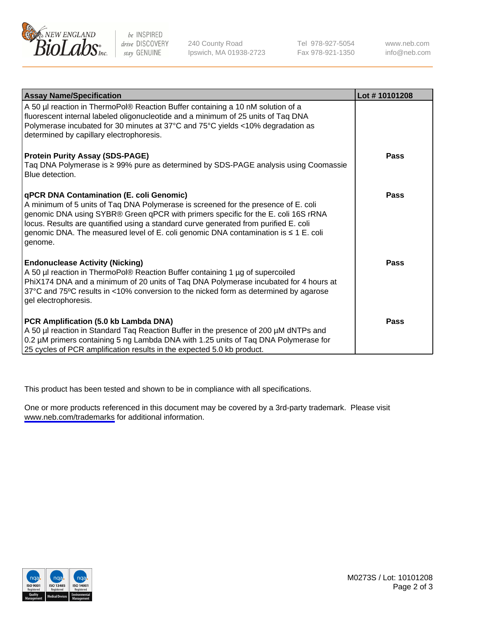

be INSPIRED drive DISCOVERY stay GENUINE

240 County Road Ipswich, MA 01938-2723 Tel 978-927-5054 Fax 978-921-1350

www.neb.com info@neb.com

| <b>Assay Name/Specification</b>                                                                                                                                                                                                                                                                                                                                                                               | Lot #10101208 |
|---------------------------------------------------------------------------------------------------------------------------------------------------------------------------------------------------------------------------------------------------------------------------------------------------------------------------------------------------------------------------------------------------------------|---------------|
| A 50 µl reaction in ThermoPol® Reaction Buffer containing a 10 nM solution of a<br>fluorescent internal labeled oligonucleotide and a minimum of 25 units of Taq DNA<br>Polymerase incubated for 30 minutes at 37°C and 75°C yields <10% degradation as<br>determined by capillary electrophoresis.                                                                                                           |               |
| <b>Protein Purity Assay (SDS-PAGE)</b><br>Taq DNA Polymerase is ≥ 99% pure as determined by SDS-PAGE analysis using Coomassie<br>Blue detection.                                                                                                                                                                                                                                                              | Pass          |
| qPCR DNA Contamination (E. coli Genomic)<br>A minimum of 5 units of Taq DNA Polymerase is screened for the presence of E. coli<br>genomic DNA using SYBR® Green qPCR with primers specific for the E. coli 16S rRNA<br>locus. Results are quantified using a standard curve generated from purified E. coli<br>genomic DNA. The measured level of E. coli genomic DNA contamination is ≤ 1 E. coli<br>genome. | Pass          |
| <b>Endonuclease Activity (Nicking)</b><br>A 50 µl reaction in ThermoPol® Reaction Buffer containing 1 µg of supercoiled<br>PhiX174 DNA and a minimum of 20 units of Taq DNA Polymerase incubated for 4 hours at<br>37°C and 75°C results in <10% conversion to the nicked form as determined by agarose<br>gel electrophoresis.                                                                               | Pass          |
| PCR Amplification (5.0 kb Lambda DNA)<br>A 50 µl reaction in Standard Taq Reaction Buffer in the presence of 200 µM dNTPs and<br>0.2 µM primers containing 5 ng Lambda DNA with 1.25 units of Taq DNA Polymerase for<br>25 cycles of PCR amplification results in the expected 5.0 kb product.                                                                                                                | <b>Pass</b>   |

This product has been tested and shown to be in compliance with all specifications.

One or more products referenced in this document may be covered by a 3rd-party trademark. Please visit <www.neb.com/trademarks>for additional information.